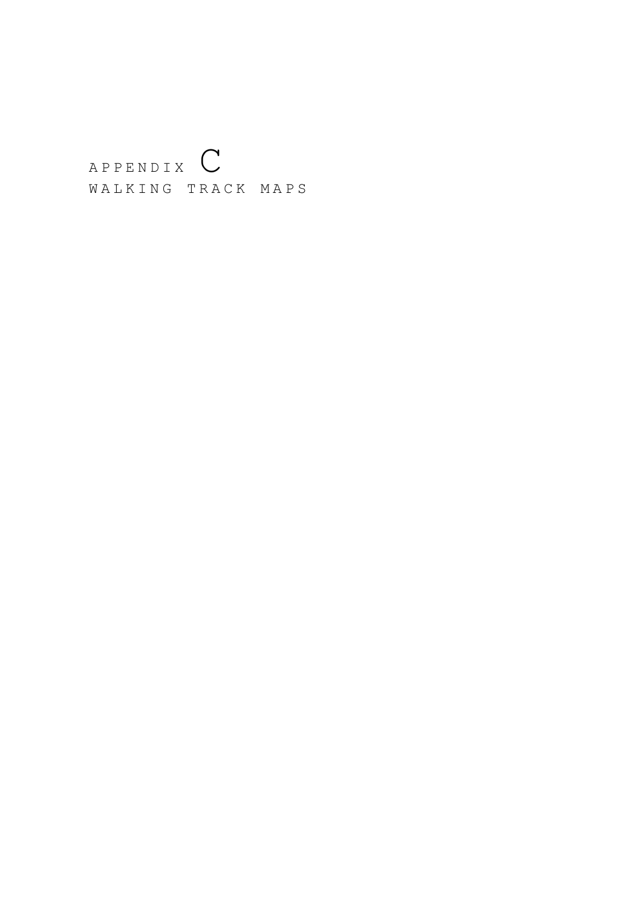## APPENDIX C WALKING TRACK MAPS